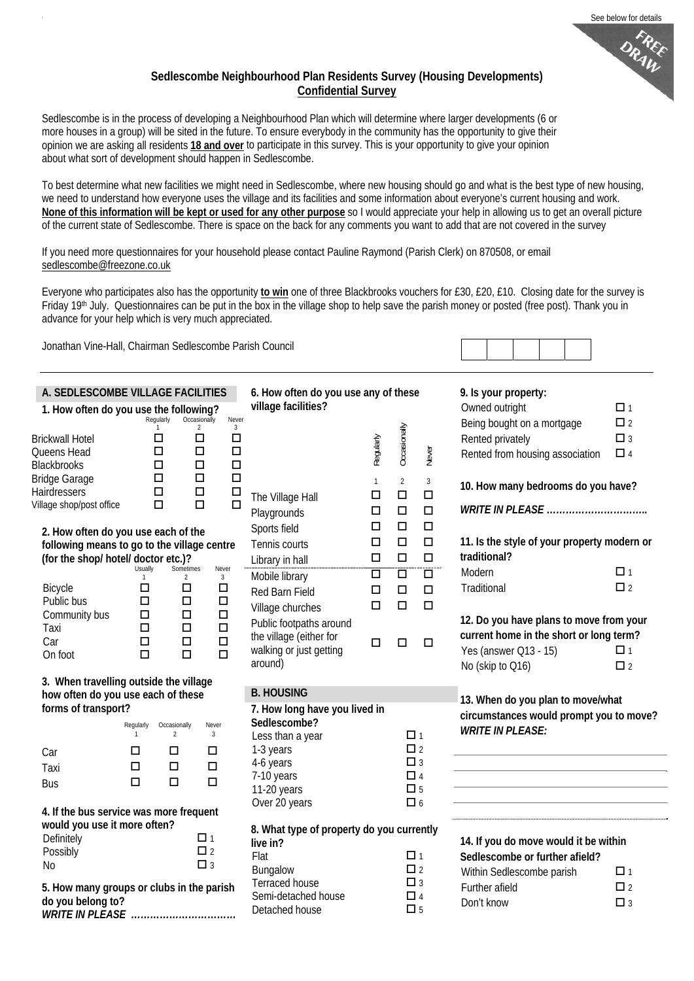### **Sedlescombe Neighbourhood Plan Residents Survey (Housing Developments) Confidential Survey**

Sedlescombe is in the process of developing a Neighbourhood Plan which will determine where larger developments (6 or more houses in a group) will be sited in the future. To ensure everybody in the community has the opportunity to give their opinion we are asking all residents **18 and over** to participate in this survey. This is your opportunity to give your opinion about what sort of development should happen in Sedlescombe.

To best determine what new facilities we might need in Sedlescombe, where new housing should go and what is the best type of new housing, we need to understand how everyone uses the village and its facilities and some information about everyone's current housing and work. **None of this information will be kept or used for any other purpose** so I would appreciate your help in allowing us to get an overall picture of the current state of Sedlescombe. There is space on the back for any comments you want to add that are not covered in the survey

If you need more questionnaires for your household please contact Pauline Raymond (Parish Clerk) on 870508, or email [sedlescombe@freezone.co.uk](mailto:sedlescombe@freezone.co.uk)

Everyone who participates also has the opportunity **to win** one of three Blackbrooks vouchers for £30, £20, £10. Closing date for the survey is Friday 19<sup>th</sup> July. Questionnaires can be put in the box in the village shop to help save the parish money or posted (free post). Thank you in advance for your help which is very much appreciated.

Jonathan Vine-Hall, Chairman Sedlescombe Parish Council

| A. SEDLESCOMBE VILLAGE FACILITIES<br>1. How often do you use the following?  |                                |                                                       | 6. How often do you use any of these<br>village facilities? |              |                                                                              |                                       | 9. Is your property:<br>Owned outright                                             | $\Box$ 1    |
|------------------------------------------------------------------------------|--------------------------------|-------------------------------------------------------|-------------------------------------------------------------|--------------|------------------------------------------------------------------------------|---------------------------------------|------------------------------------------------------------------------------------|-------------|
|                                                                              | Regularly                      | Occasionally                                          | Never                                                       |              |                                                                              |                                       | Being bought on a mortgage                                                         | $\square$ 2 |
| <b>Brickwall Hotel</b>                                                       | □                              | $\overline{2}$<br>$\Box$                              | $\overline{3}$<br>$\Box$                                    |              | Occasionally                                                                 |                                       | Rented privately                                                                   | $\Box$ 3    |
| Queens Head                                                                  | □                              | $\Box$                                                | $\Box$                                                      | Regularly    |                                                                              | Never                                 | Rented from housing association                                                    | $\Box$ 4    |
| <b>Blackbrooks</b>                                                           | □                              | $\Box$                                                | $\Box$                                                      |              |                                                                              |                                       |                                                                                    |             |
| <b>Bridge Garage</b><br>Hairdressers                                         | □<br>$\Box$                    | $\Box$<br>$\Box$                                      | $\Box$<br>$\Box$                                            | $\mathbf{1}$ | $\overline{2}$                                                               | $\mathbf{3}$                          | 10. How many bedrooms do you have?                                                 |             |
| Village shop/post office                                                     | $\Box$                         | $\Box$                                                | The Village Hall<br>$\Box$                                  | $\Box$       | $\Box$                                                                       | $\Box$                                |                                                                                    |             |
|                                                                              |                                |                                                       | Playgrounds                                                 | □            | $\Box$                                                                       | $\Box$                                | <b>WRITE IN PLEASE</b>                                                             |             |
| 2. How often do you use each of the                                          |                                |                                                       | Sports field                                                | $\Box$       | $\Box$                                                                       | $\Box$                                |                                                                                    |             |
| following means to go to the village centre                                  |                                |                                                       | Tennis courts                                               | $\Box$       | $\Box$                                                                       | $\Box$                                | 11. Is the style of your property modern or<br>traditional?                        |             |
| (for the shop/ hotel/ doctor etc.)?                                          | Usually                        | Sometimes<br>Never                                    | Library in hall                                             | $\Box$       | $\Box$                                                                       | $\Box$                                | Modern                                                                             | $\Box$ 1    |
|                                                                              | $\mathbf{1}$<br>□              | $\overline{2}$<br>$\overline{3}$<br>$\Box$<br>$\Box$  | Mobile library                                              | $\Box$       | $\Box$                                                                       | $\Box$                                | Traditional                                                                        | $\square$ 2 |
| Bicycle<br>Public bus                                                        | □                              | $\Box$<br>$\Box$                                      | Red Barn Field                                              | $\Box$       | $\Box$                                                                       | $\Box$                                |                                                                                    |             |
| Community bus                                                                | □                              | $\Box$<br>$\Box$                                      | Village churches                                            | $\Box$       | $\Box$                                                                       | $\Box$                                |                                                                                    |             |
| Taxi                                                                         | □                              | $\Box$<br>$\Box$                                      | Public footpaths around                                     |              |                                                                              |                                       | 12. Do you have plans to move from your<br>current home in the short or long term? |             |
| Car                                                                          | □                              | $\Box$<br>$\Box$                                      | the village (either for<br>walking or just getting          | $\Box$       | $\Box$                                                                       | $\Box$                                | Yes (answer Q13 - 15)                                                              | $\Box$ 1    |
| On foot                                                                      | $\Box$                         | $\Box$<br>$\Box$                                      | around)                                                     |              |                                                                              |                                       | No (skip to Q16)                                                                   | $\Box$ 2    |
|                                                                              |                                |                                                       |                                                             |              |                                                                              |                                       |                                                                                    |             |
| 3. When travelling outside the village<br>how often do you use each of these |                                | <b>B. HOUSING</b>                                     |                                                             |              |                                                                              |                                       |                                                                                    |             |
| forms of transport?                                                          |                                |                                                       | 7. How long have you lived in                               |              | 13. When do you plan to move/what<br>circumstances would prompt you to move? |                                       |                                                                                    |             |
|                                                                              | Regularly<br>Occasionally      | Never                                                 | Sedlescombe?                                                |              |                                                                              |                                       | <b>WRITE IN PLEASE:</b>                                                            |             |
|                                                                              | $\overline{2}$<br>$\mathbf{1}$ | $\overline{3}$                                        | Less than a year                                            |              | $\Box$ 1<br>$\Box$ 2                                                         |                                       |                                                                                    |             |
| Car                                                                          | □<br>□                         | □                                                     | 1-3 years<br>4-6 years                                      |              | $\Box$ 3                                                                     |                                       |                                                                                    |             |
| Taxi                                                                         | $\Box$<br>$\Box$               | $\Box$                                                | 7-10 years                                                  |              | $\Box$ 4                                                                     |                                       |                                                                                    |             |
| <b>Bus</b>                                                                   | $\Box$<br>$\Box$               | $\Box$                                                | 11-20 years                                                 |              | $\square$ 5                                                                  |                                       |                                                                                    |             |
| 4. If the bus service was more frequent                                      |                                |                                                       | Over 20 years                                               |              | $\Box$ 6                                                                     |                                       |                                                                                    |             |
| would you use it more often?                                                 |                                |                                                       |                                                             |              |                                                                              |                                       |                                                                                    |             |
| Definitely<br>$\Box$ 1                                                       |                                | 8. What type of property do you currently<br>live in? |                                                             |              |                                                                              | 14. If you do move would it be within |                                                                                    |             |
| Possibly                                                                     |                                | $\square$ 2                                           | Flat                                                        |              | $\Box$ 1                                                                     |                                       | Sedlescombe or further afield?                                                     |             |
| <b>No</b>                                                                    |                                | $\Box$ 3                                              | Bungalow                                                    |              | $\Box$ 2                                                                     |                                       | Within Sedlescombe parish                                                          | $\Box$ 1    |
| 5. How many groups or clubs in the parish                                    |                                |                                                       | Terraced house                                              |              | $\Box$ 3                                                                     |                                       | Further afield                                                                     | $\square$ 2 |
| do you belong to?                                                            |                                |                                                       | Semi-detached house                                         |              | $\Box$ 4                                                                     |                                       | Don't know                                                                         | $\Box$ 3    |
| WRITE IN PLEASE                                                              |                                |                                                       | Detached house                                              |              | $\square$ 5                                                                  |                                       |                                                                                    |             |
|                                                                              |                                |                                                       |                                                             |              |                                                                              |                                       |                                                                                    |             |
|                                                                              |                                |                                                       |                                                             |              |                                                                              |                                       |                                                                                    |             |

See below for details

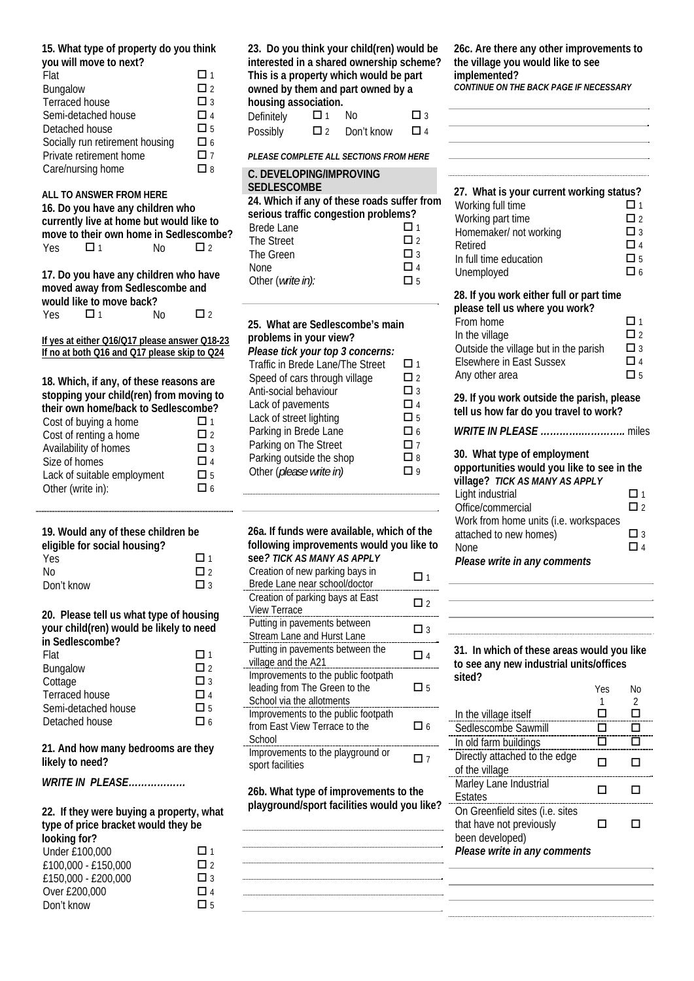#### **15. What type of property do you think you will move to next?**

| <b>TOG WILL LITOVO TO HOAT.</b> |             |
|---------------------------------|-------------|
| Flat                            | 口 1         |
| Bungalow                        | $\Box$ 2    |
| Terraced house                  | $\Box$ 3    |
| Semi-detached house             | $\Box$ 4    |
| Detached house                  | $\square$ 5 |
| Socially run retirement housing | 口 6         |
| Private retirement home         | $\Box$ 7    |
| Care/nursing home               | Пg          |
|                                 |             |

## **ALL TO ANSWER FROM HERE 16. Do you have any children who currently live at home but would like to move to their own home in Sedlescombe?**  Yes  $\Box$  1 No  $\Box$  2 **17. Do you have any children who have moved away from Sedlescombe and would like to move back?**<br>Yes  $\Box$  1 Yes  $\Box$  1 No  $\Box$  2 **If yes at either Q16/Q17 please answer Q18-23**

**If no at both Q16 and Q17 please skip to Q24**

**18. Which, if any, of these reasons are stopping your child(ren) from moving to their own home/back to Sedlescombe?** 

| Cost of buying a home       | $\Box$ 1  |
|-----------------------------|-----------|
| Cost of renting a home      | $\Box$    |
| Availability of homes       | $\Box$ 3  |
| Size of homes               | $\Box$ 4  |
| Lack of suitable employment | $\Box$ 5  |
| Other (write in):           | $\prod$ 6 |

## **19. Would any of these children be**

| eligible for social housing? |          |
|------------------------------|----------|
| <b>Yes</b>                   | $\Box$ 1 |
| No                           | $\Box$   |
| Don't know                   | $\Box$ 3 |

**20. Please tell us what type of housing your child(ren) would be likely to need in Sedlescombe?** 

| эсакзоопыс.         |          |
|---------------------|----------|
| Flat                | □ 1      |
| Bungalow            | $\Box$ 2 |
| Cottage             | $\Box$ 3 |
| Terraced house      | □ 4      |
| Semi-detached house | П5       |
| Detached house      | Пк       |
|                     |          |

**21. And how many bedrooms are they likely to need?** 

*WRITE IN PLEASE………………* 

| 22. If they were buying a property, what |          |  |
|------------------------------------------|----------|--|
| type of price bracket would they be      |          |  |
| looking for?                             |          |  |
| Under £100,000                           | □ 1      |  |
| £100,000 - £150,000                      | $\Box$ 2 |  |
| £150,000 - £200,000                      | $\Box$ 3 |  |
| Over £200,000                            | $\Box$ 4 |  |
| Don't know                               | ٦ҕ       |  |

| 23. Do you think your child(ren) would be |                                          |            |    |  |  |
|-------------------------------------------|------------------------------------------|------------|----|--|--|
|                                           | interested in a shared ownership scheme? |            |    |  |  |
| This is a property which would be part    |                                          |            |    |  |  |
| owned by them and part owned by a         |                                          |            |    |  |  |
| housing association.                      |                                          |            |    |  |  |
| Definitely                                | П 1                                      | N٥         | П٩ |  |  |
| Possibly                                  | П١                                       | Don't know | ΠΔ |  |  |

*PLEASE COMPLETE ALL SECTIONS FROM HERE* 

| <b>C. DEVELOPING/IMPROVING</b><br><b>SEDLESCOMBE</b> |          |
|------------------------------------------------------|----------|
| 24. Which if any of these roads suffer from          |          |
| serious traffic congestion problems?                 |          |
| Brede Lane                                           | □ 1      |
| The Street                                           | $\Box$   |
| The Green                                            | $\Box$ 3 |
| <b>None</b>                                          | □ 4      |
| Other (write in):                                    | 口5       |
|                                                      |          |

| 25. What are Sedlescombe's main<br>problems in your view? |          |
|-----------------------------------------------------------|----------|
| Please tick your top 3 concerns:                          |          |
| Traffic in Brede Lane/The Street                          | ◘ 1      |
| Speed of cars through village                             | 口2       |
| Anti-social behaviour                                     | □ 3      |
| Lack of pavements                                         | ◘ 4      |
| Lack of street lighting                                   | 口 5      |
| Parking in Brede Lane                                     | $\Box$ 6 |
| Parking on The Street                                     | 口 7      |
| Parking outside the shop                                  | □ 8      |
| Other (please write in)                                   | q        |

| 26a. If funds were available, which of the<br>following improvements would you like to<br>see ? TICK AS MANY AS APPLY |          |
|-----------------------------------------------------------------------------------------------------------------------|----------|
| Creation of new parking bays in<br>Brede Lane near school/doctor                                                      | П1       |
| Creation of parking bays at East<br><b>View Terrace</b>                                                               | П۱       |
| Putting in pavements between<br>Stream Lane and Hurst Lane                                                            | □ 3      |
| Putting in pavements between the<br>village and the A21                                                               | $\Box$ 4 |
| Improvements to the public footpath<br>leading from The Green to the<br>School via the allotments                     | Πҕ       |
| Improvements to the public footpath<br>from East View Terrace to the<br>School                                        | ٦6       |
| Improvements to the playground or<br>sport facilities                                                                 |          |

**26b. What type of improvements to the playground/sport facilities would you like?** 

**26c. Are there any other improvements to the village you would like to see implemented?**  *CONTINUE ON THE BACK PAGE IF NECESSARY* 

| 27. What is your current working status?                                             |                         |
|--------------------------------------------------------------------------------------|-------------------------|
| Working full time                                                                    | □ 1                     |
| Working part time<br>Homemaker/ not working                                          | $\Box$ 2<br>$\square$ 3 |
| Retired                                                                              | $\Box$ 4                |
| In full time education<br>Unemployed                                                 | $\square$ 5<br>$\Box$ 6 |
|                                                                                      |                         |
| 28. If you work either full or part time<br>please tell us where you work?           |                         |
| From home                                                                            | П 1                     |
| In the village<br>Outside the village but in the parish                              | $\Box$ 2<br>$\square$ 3 |
| <b>Elsewhere in East Sussex</b>                                                      | $\Box$ 4                |
| Any other area                                                                       | П5                      |
| 29. If you work outside the parish, please<br>tell us how far do you travel to work? |                         |
|                                                                                      |                         |
| 30. What type of employment                                                          |                         |
| opportunities would you like to see in the<br>village? TICK AS MANY AS APPLY         |                         |
| Light industrial                                                                     | П1                      |
| Office/commercial                                                                    | $\Box$ 2                |
| Work from home units (i.e. workspaces<br>attached to new homes)                      | □ 3                     |
| None                                                                                 | $\Box$ 4                |

*Please write in any comments* 

#### **31. In which of these areas would you like to see any new industrial units/offices sited?**

|                                 | Yes | N٥ |
|---------------------------------|-----|----|
|                                 |     | 2  |
| In the village itself           |     |    |
| Sedlescombe Sawmill             |     |    |
| In old farm buildings           |     |    |
| Directly attached to the edge   |     |    |
| of the village                  |     |    |
| Marley Lane Industrial          |     |    |
| Estates                         |     |    |
| On Greenfield sites (i.e. sites |     |    |
| that have not previously        |     |    |
| been developed)                 |     |    |
| Please write in any comments    |     |    |
|                                 |     |    |
|                                 |     |    |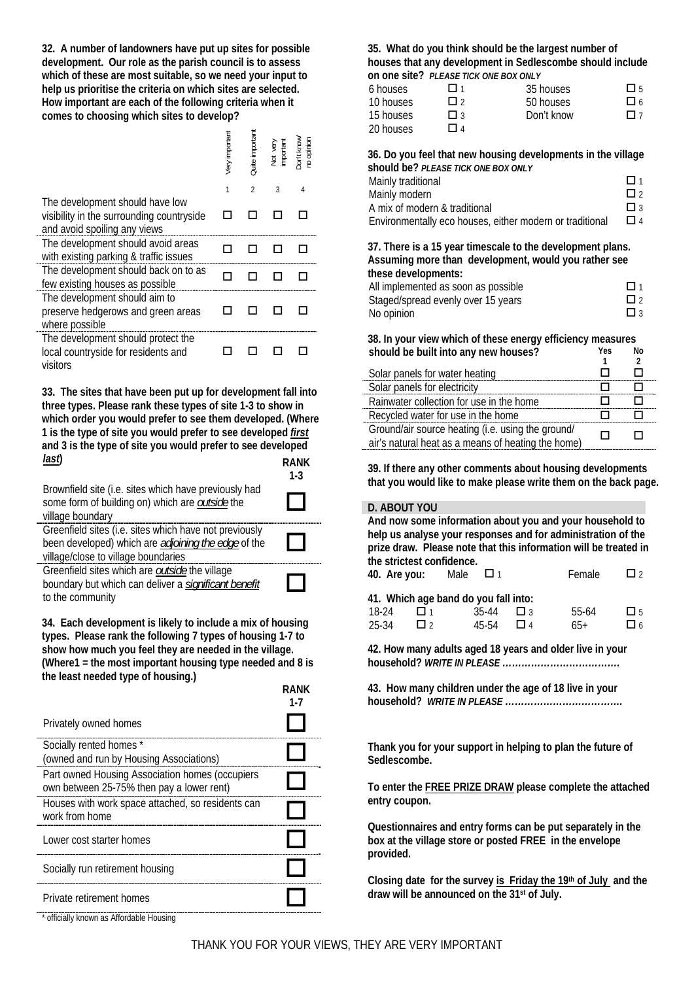**32. A number of landowners have put up sites for possible development. Our role as the parish council is to assess which of these are most suitable, so we need your input to help us prioritise the criteria on which sites are selected. How important are each of the following criteria when it comes to choosing which sites to develop?** 

|                                                                                                              | Very important | Quite important | Not very<br>important | Don't know/<br>no opinion |
|--------------------------------------------------------------------------------------------------------------|----------------|-----------------|-----------------------|---------------------------|
|                                                                                                              | 1              | $\mathfrak{p}$  | 3                     | Δ                         |
| The development should have low<br>visibility in the surrounding countryside<br>and avoid spoiling any views |                |                 |                       |                           |
| The development should avoid areas<br>with existing parking & traffic issues                                 |                |                 |                       |                           |
| The development should back on to as<br>few existing houses as possible                                      |                |                 |                       |                           |
| The development should aim to<br>preserve hedgerows and green areas<br>where possible                        |                |                 |                       |                           |
| The development should protect the<br>local countryside for residents and<br>visitors                        |                |                 |                       |                           |

**33. The sites that have been put up for development fall into three types. Please rank these types of site 1-3 to show in which order you would prefer to see them developed. (Where 1 is the type of site you would prefer to see developed** *first* **and 3 is the type of site you would prefer to see developed**  *last***) RANK** 

|                                                                                                                                                             | $1-3$ |
|-------------------------------------------------------------------------------------------------------------------------------------------------------------|-------|
| Brownfield site (i.e. sites which have previously had<br>some form of building on) which are outside the<br>village boundary                                |       |
| Greenfield sites (i.e. sites which have not previously<br>been developed) which are <i>adjoining the edge</i> of the<br>village/close to village boundaries |       |
| Greenfield sites which are <b>outside</b> the village<br>boundary but which can deliver a significant benefit<br>to the community                           |       |

boundary but which can deliver a *significant benefit* to the community

**34. Each development is likely to include a mix of housing types. Please rank the following 7 types of housing 1-7 to show how much you feel they are needed in the village. (Where1 = the most important housing type needed and 8 is the least needed type of housing.) RANK** 

| <b>RANK</b><br>1-7 |
|--------------------|
|                    |
|                    |
|                    |
|                    |
|                    |
|                    |
|                    |
|                    |

**35. What do you think should be the largest number of houses that any development in Sedlescombe should include on one site?** *PLEASE TICK ONE BOX ONLY*

| 6 houses  | $\Box$ 1  | 35 houses  | П5      |
|-----------|-----------|------------|---------|
| 10 houses | Пэ        | 50 houses  | 口 6     |
| 15 houses | $\prod$ 3 | Don't know | $\Pi$ 7 |
| 20 houses | ΠΔ        |            |         |

**36. Do you feel that new housing developments in the village should be?** *PLEASE TICK ONE BOX ONLY*

| Mainly traditional                                       | $\Pi$ 1  |
|----------------------------------------------------------|----------|
| Mainly modern                                            | $\Box$   |
| A mix of modern & traditional                            | $\Box$ 3 |
| Environmentally eco houses, either modern or traditional | $\Box$ 4 |

**37. There is a 15 year timescale to the development plans. Assuming more than development, would you rather see these developments:** 

| All implemented as soon as possible | $\Box$ 1    |
|-------------------------------------|-------------|
| Staged/spread evenly over 15 years  | $\Box$ 2    |
| No opinion                          | $\square$ 3 |

**38. In your view which of these energy efficiency measures should be built into any new houses? Yes No**

| Solar panels for water heating                                                                          |  |
|---------------------------------------------------------------------------------------------------------|--|
| Solar panels for electricity                                                                            |  |
| Rainwater collection for use in the home                                                                |  |
| Recycled water for use in the home                                                                      |  |
| Ground/air source heating (i.e. using the ground/<br>air's natural heat as a means of heating the home) |  |
|                                                                                                         |  |

**39. If there any other comments about housing developments that you would like to make please write them on the back page.**

#### **D. ABOUT YOU**

**And now some information about you and your household to help us analyse your responses and for administration of the prize draw. Please note that this information will be treated in the strictest confidence.** 

| 40. Are you: |           | Male<br>□ □ 1                        |                  | Female | $\Box$ 2    |
|--------------|-----------|--------------------------------------|------------------|--------|-------------|
|              |           | 41. Which age band do you fall into: |                  |        |             |
| 18-24        | □ 1       | 35-44                                | $\Box$ 3         | 55-64  | $\square$ 5 |
| 25-34        | $\prod$ 2 | 45-54                                | $\prod$ $\Delta$ | $65+$  | 口 6         |

**42. How many adults aged 18 years and older live in your household?** *WRITE IN PLEASE ……………………………….* 

**43. How many children under the age of 18 live in your household?** *WRITE IN PLEASE ……………………………….* 

**Thank you for your support in helping to plan the future of Sedlescombe.** 

**To enter the FREE PRIZE DRAW please complete the attached entry coupon.** 

**Questionnaires and entry forms can be put separately in the box at the village store or posted FREE in the envelope provided.** 

**Closing date for the survey is Friday the 19th of July and the draw will be announced on the 31st of July.** 

officially known as Affordable Housing